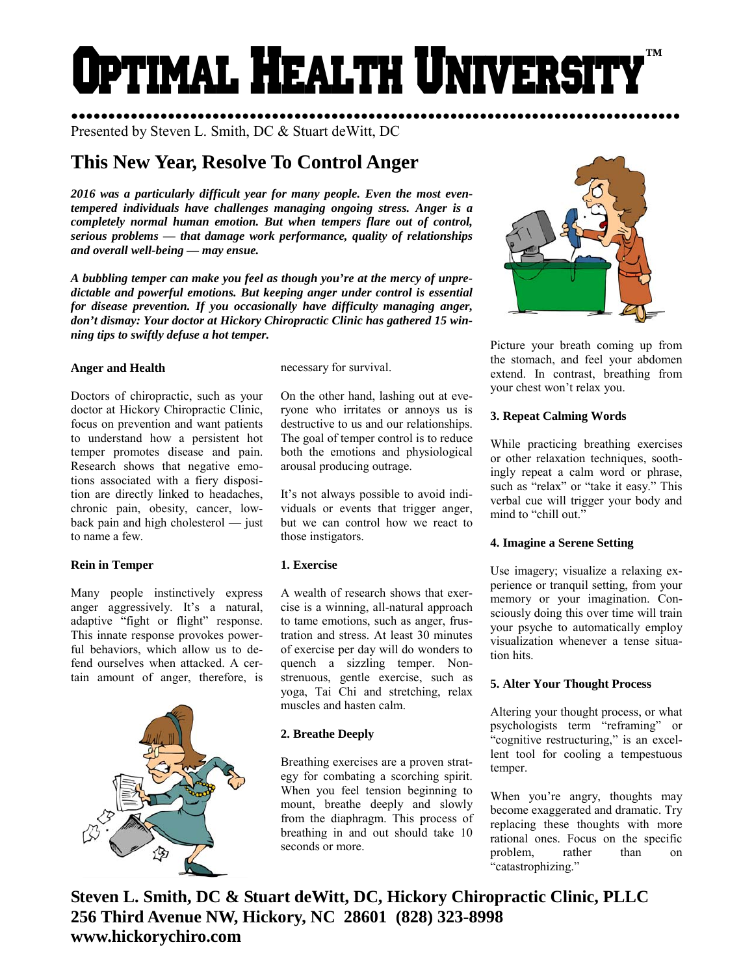# Optimal Health Universi **™**

●●●●●●●●●●●●●●●●●●●●●●●●●●●●●●●●●●●●●●●●●●●●●●●●●●●●●●●●●●●●●●●●●●●●●●●●●●●●●●●●●● Presented by Steven L. Smith, DC & Stuart deWitt, DC

# **This New Year, Resolve To Control Anger**

*2016 was a particularly difficult year for many people. Even the most eventempered individuals have challenges managing ongoing stress. Anger is a completely normal human emotion. But when tempers flare out of control, serious problems — that damage work performance, quality of relationships and overall well-being — may ensue.* 

*A bubbling temper can make you feel as though you're at the mercy of unpredictable and powerful emotions. But keeping anger under control is essential for disease prevention. If you occasionally have difficulty managing anger, don't dismay: Your doctor at Hickory Chiropractic Clinic has gathered 15 winning tips to swiftly defuse a hot temper.* 

#### **Anger and Health**

Doctors of chiropractic, such as your doctor at Hickory Chiropractic Clinic, focus on prevention and want patients to understand how a persistent hot temper promotes disease and pain. Research shows that negative emotions associated with a fiery disposition are directly linked to headaches, chronic pain, obesity, cancer, lowback pain and high cholesterol — just to name a few.

#### **Rein in Temper**

Many people instinctively express anger aggressively. It's a natural, adaptive "fight or flight" response. This innate response provokes powerful behaviors, which allow us to defend ourselves when attacked. A certain amount of anger, therefore, is



necessary for survival.

On the other hand, lashing out at everyone who irritates or annoys us is destructive to us and our relationships. The goal of temper control is to reduce both the emotions and physiological arousal producing outrage.

It's not always possible to avoid individuals or events that trigger anger, but we can control how we react to those instigators.

#### **1. Exercise**

A wealth of research shows that exercise is a winning, all-natural approach to tame emotions, such as anger, frustration and stress. At least 30 minutes of exercise per day will do wonders to quench a sizzling temper. Nonstrenuous, gentle exercise, such as yoga, Tai Chi and stretching, relax muscles and hasten calm.

# **2. Breathe Deeply**

Breathing exercises are a proven strategy for combating a scorching spirit. When you feel tension beginning to mount, breathe deeply and slowly from the diaphragm. This process of breathing in and out should take 10 seconds or more.



Picture your breath coming up from the stomach, and feel your abdomen extend. In contrast, breathing from your chest won't relax you.

# **3. Repeat Calming Words**

While practicing breathing exercises or other relaxation techniques, soothingly repeat a calm word or phrase, such as "relax" or "take it easy." This verbal cue will trigger your body and mind to "chill out."

# **4. Imagine a Serene Setting**

Use imagery; visualize a relaxing experience or tranquil setting, from your memory or your imagination. Consciously doing this over time will train your psyche to automatically employ visualization whenever a tense situation hits.

# **5. Alter Your Thought Process**

Altering your thought process, or what psychologists term "reframing" or "cognitive restructuring," is an excellent tool for cooling a tempestuous temper.

When you're angry, thoughts may become exaggerated and dramatic. Try replacing these thoughts with more rational ones. Focus on the specific problem, rather than on "catastrophizing."

**Steven L. Smith, DC & Stuart deWitt, DC, Hickory Chiropractic Clinic, PLLC 256 Third Avenue NW, Hickory, NC 28601 (828) 323-8998 www.hickorychiro.com**